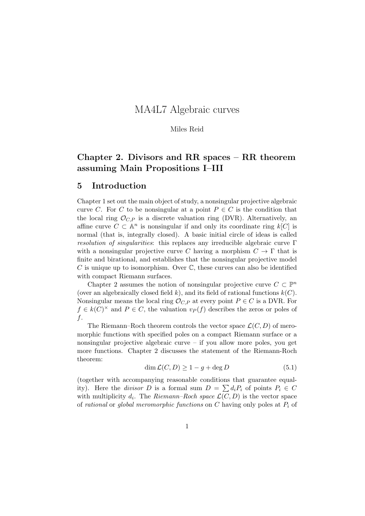# MA4L7 Algebraic curves

Miles Reid

# Chapter 2. Divisors and RR spaces – RR theorem assuming Main Propositions I–III

# 5 Introduction

Chapter 1 set out the main object of study, a nonsingular projective algebraic curve C. For C to be nonsingular at a point  $P \in C$  is the condition that the local ring  $\mathcal{O}_{CP}$  is a discrete valuation ring (DVR). Alternatively, an affine curve  $C \subset \mathbb{A}^n$  is nonsingular if and only its coordinate ring  $k[C]$  is normal (that is, integrally closed). A basic initial circle of ideas is called resolution of singularities: this replaces any irreducible algebraic curve Γ with a nonsingular projective curve C having a morphism  $C \to \Gamma$  that is finite and birational, and establishes that the nonsingular projective model C is unique up to isomorphism. Over  $\mathbb C$ , these curves can also be identified with compact Riemann surfaces.

Chapter 2 assumes the notion of nonsingular projective curve  $C \subset \mathbb{P}^n$ (over an algebraically closed field k), and its field of rational functions  $k(C)$ . Nonsingular means the local ring  $\mathcal{O}_{C,P}$  at every point  $P \in C$  is a DVR. For  $f \in k(C)^{\times}$  and  $P \in C$ , the valuation  $v_P(f)$  describes the zeros or poles of f.

The Riemann–Roch theorem controls the vector space  $\mathcal{L}(C, D)$  of meromorphic functions with specified poles on a compact Riemann surface or a nonsingular projective algebraic curve – if you allow more poles, you get more functions. Chapter 2 discusses the statement of the Riemann-Roch theorem:

$$
\dim \mathcal{L}(C, D) \ge 1 - g + \deg D \tag{5.1}
$$

(together with accompanying reasonable conditions that guarantee equality). Here the *divisor* D is a formal sum  $D = \sum d_i P_i$  of points  $P_i \in C$ with multiplicity  $d_i$ . The Riemann–Roch space  $\mathcal{L}(C, D)$  is the vector space of rational or global meromorphic functions on  $C$  having only poles at  $P_i$  of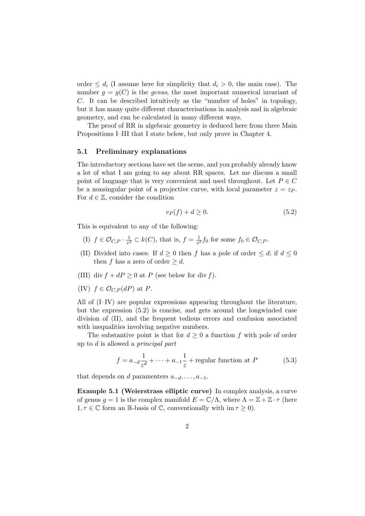order  $\leq d_i$  (I assume here for simplicity that  $d_i > 0$ , the main case). The number  $q = q(C)$  is the *genus*, the most important numerical invariant of C. It can be described intuitively as the "number of holes" in topology, but it has many quite different characterisations in analysis and in algebraic geometry, and can be calculated in many different ways.

The proof of RR in algebraic geometry is deduced here from three Main Propositions I–III that I state below, but only prove in Chapter 4.

#### 5.1 Preliminary explanations

The introductory sections have set the scene, and you probably already know a lot of what I am going to say about RR spaces. Let me discuss a small point of language that is very convenient and used throughout. Let  $P \in C$ be a nonsingular point of a projective curve, with local parameter  $z = z_P$ . For  $d \in \mathbb{Z}$ , consider the condition

$$
v_P(f) + d \ge 0. \tag{5.2}
$$

This is equivalent to any of the following:

- (I)  $f \in \mathcal{O}_{C,P} \cdot \frac{1}{z^d}$  $\frac{1}{z^d} \subset k(C)$ , that is,  $f = \frac{1}{z^d}$  $\frac{1}{z^d} f_0$  for some  $f_0 \in \mathcal{O}_{C,P}$ .
- (II) Divided into cases: If  $d \geq 0$  then f has a pole of order  $\leq d$ ; if  $d \leq 0$ then f has a zero of order  $\geq d$ .
- (III) div  $f + dP \geq 0$  at P (see below for div f).
- (IV)  $f \in \mathcal{O}_{C,P}(dP)$  at P.

All of (I–IV) are popular expressions appearing throughout the literature, but the expression (5.2) is concise, and gets around the longwinded case division of (II), and the frequent tedious errors and confusion associated with inequalities involving negative numbers.

The substantive point is that for  $d \geq 0$  a function f with pole of order up to d is allowed a principal part

$$
f = a_{-d} \frac{1}{z^d} + \dots + a_{-1} \frac{1}{z} + \text{regular function at } P \tag{5.3}
$$

that depends on d parameters  $a_{-d}, \ldots, a_{-1}$ .

Example 5.1 (Weierstrass elliptic curve) In complex analysis, a curve of genus  $g = 1$  is the complex manifold  $E = \mathbb{C}/\Lambda$ , where  $\Lambda = \mathbb{Z} + \mathbb{Z} \cdot \tau$  (here  $1, \tau \in \mathbb{C}$  form an R-basis of C, conventionally with im  $\tau \geq 0$ ).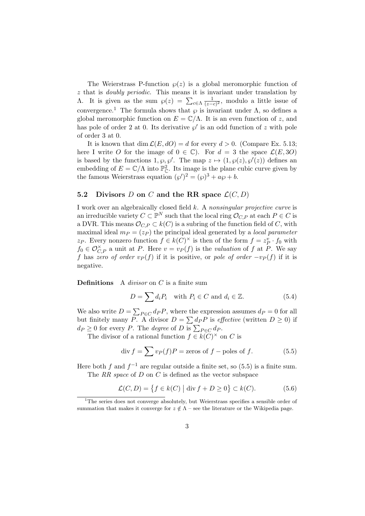The Weierstrass P-function  $\varphi(z)$  is a global meromorphic function of z that is doubly periodic. This means it is invariant under translation by Λ. It is given as the sum  $\wp(z) = \sum_{c \in \Lambda} \frac{1}{(z - \epsilon)^2}$  $\frac{1}{(z-c)^2}$ , modulo a little issue of convergence.<sup>1</sup> The formula shows that  $\wp$  is invariant under  $\Lambda$ , so defines a global meromorphic function on  $E = \mathbb{C}/\Lambda$ . It is an even function of z, and has pole of order 2 at 0. Its derivative  $\wp'$  is an odd function of z with pole of order 3 at 0.

It is known that dim  $\mathcal{L}(E, dO) = d$  for every  $d > 0$ . (Compare Ex. 5.13; here I write O for the image of  $0 \in \mathbb{C}$ . For  $d = 3$  the space  $\mathcal{L}(E, 3O)$ is based by the functions  $1, \varphi, \varphi'$ . The map  $z \mapsto (1, \varphi(z), \varphi'(z))$  defines an embedding of  $E = \mathbb{C}/\Lambda$  into  $\mathbb{P}_{\mathbb{C}}^2$ . Its image is the plane cubic curve given by the famous Weierstrass equation  $({\wp}')^2 = ({\wp})^3 + a{\wp} + b$ .

# 5.2 Divisors D on C and the RR space  $\mathcal{L}(C, D)$

I work over an algebraically closed field k. A nonsingular projective curve is an irreducible variety  $C \subset \mathbb{P}^N$  such that the local ring  $\mathcal{O}_{C,P}$  at each  $P \in C$  is a DVR. This means  $\mathcal{O}_{C,P} \subset k(C)$  is a subring of the function field of C, with maximal ideal  $m_P = (z_P)$  the principal ideal generated by a *local parameter* z<sub>P</sub>. Every nonzero function  $f \in k(C)^{\times}$  is then of the form  $f = z_p^v \cdot f_0$  with  $f_0 \in \mathcal{O}_{C,P}^{\times}$  a unit at P. Here  $v = v_P(f)$  is the valuation of f at P. We say f has zero of order  $v_P(f)$  if it is positive, or pole of order  $-v_P(f)$  if it is negative.

**Definitions** A *divisor* on  $C$  is a finite sum

$$
D = \sum d_i P_i \quad \text{with } P_i \in C \text{ and } d_i \in \mathbb{Z}.\tag{5.4}
$$

We also write  $D = \sum_{P \in C} d_P P$ , where the expression assumes  $d_P = 0$  for all but finitely many P. A divisor  $D = \sum dpP$  is *effective* (written  $D \ge 0$ ) if  $d_P \geq 0$  for every P. The *degree* of D is  $\sum_{P \in C} d_P$ .

The divisor of a rational function  $f \in k(C)^{\times}$  on C is

$$
\operatorname{div} f = \sum v_P(f)P = \text{zeros of } f - \text{poles of } f. \tag{5.5}
$$

Here both f and  $f^{-1}$  are regular outside a finite set, so (5.5) is a finite sum. The RR space of  $D$  on  $C$  is defined as the vector subspace

$$
\mathcal{L}(C, D) = \{ f \in k(C) \mid \text{div } f + D \ge 0 \} \subset k(C). \tag{5.6}
$$

<sup>&</sup>lt;sup>1</sup>The series does not converge absolutely, but Weierstrass specifies a sensible order of summation that makes it converge for  $z \notin \Lambda$  – see the literature or the Wikipedia page.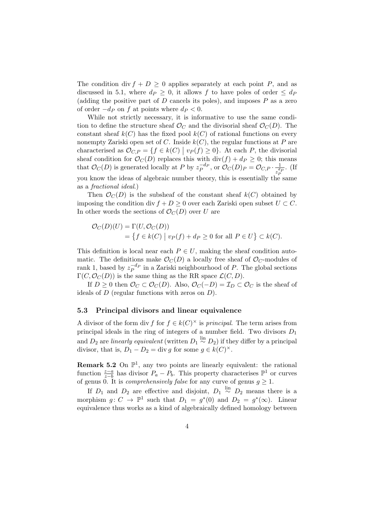The condition div  $f + D \geq 0$  applies separately at each point P, and as discussed in 5.1, where  $d_P \geq 0$ , it allows f to have poles of order  $\leq d_P$ (adding the positive part of  $D$  cancels its poles), and imposes  $P$  as a zero of order  $-d_P$  on f at points where  $d_P < 0$ .

While not strictly necessary, it is informative to use the same condition to define the structure sheaf  $\mathcal{O}_C$  and the divisorial sheaf  $\mathcal{O}_C(D)$ . The constant sheaf  $k(C)$  has the fixed pool  $k(C)$  of rational functions on every nonempty Zariski open set of C. Inside  $k(C)$ , the regular functions at P are characterised as  $\mathcal{O}_{C,P} = \{f \in k(C) \mid v_P(f) \geq 0\}$ . At each P, the divisorial sheaf condition for  $\mathcal{O}_C(D)$  replaces this with  $\text{div}(f) + d_P \geq 0$ ; this means that  $\mathcal{O}_C(D)$  is generated locally at P by  $z_P^{-d_P}$ , or  $\mathcal{O}_C(D)_P = \mathcal{O}_{C,P} \cdot \frac{1}{z^d}$  $z_P^{d}$ . (If you know the ideas of algebraic number theory, this is essentially the same as a fractional ideal.)

Then  $\mathcal{O}_C(D)$  is the subsheaf of the constant sheaf  $k(C)$  obtained by imposing the condition div  $f + D \geq 0$  over each Zariski open subset  $U \subset C$ . In other words the sections of  $\mathcal{O}_C(D)$  over U are

$$
\mathcal{O}_C(D)(U) = \Gamma(U, \mathcal{O}_C(D))
$$
  
=  $\{ f \in k(C) \mid v_P(f) + d_P \ge 0 \text{ for all } P \in U \} \subset k(C).$ 

This definition is local near each  $P \in U$ , making the sheaf condition automatic. The definitions make  $\mathcal{O}_C(D)$  a locally free sheaf of  $\mathcal{O}_C$ -modules of rank 1, based by  $z_P^{-d_P}$  in a Zariski neighbourhood of P. The global sections  $\Gamma(C, \mathcal{O}_C(D))$  is the same thing as the RR space  $\mathcal{L}(C, D)$ .

If  $D \geq 0$  then  $\mathcal{O}_C \subset \mathcal{O}_C(D)$ . Also,  $\mathcal{O}_C(-D) = \mathcal{I}_D \subset \mathcal{O}_C$  is the sheaf of ideals of  $D$  (regular functions with zeros on  $D$ ).

#### 5.3 Principal divisors and linear equivalence

A divisor of the form div f for  $f \in k(C)^{\times}$  is principal. The term arises from principal ideals in the ring of integers of a number field. Two divisors  $D_1$ and  $D_2$  are *linearly equivalent* (written  $D_1 \stackrel{\text{lin}}{\sim} D_2$ ) if they differ by a principal divisor, that is,  $D_1 - D_2 = \text{div } g$  for some  $g \in k(C)^{\times}$ .

**Remark 5.2** On  $\mathbb{P}^1$ , any two points are linearly equivalent: the rational function  $\frac{z-a}{z-b}$  has divisor  $P_a - P_b$ . This property characterises  $\mathbb{P}^1$  or curves of genus 0. It is *comprehensively false* for any curve of genus  $g \geq 1$ .

If  $D_1$  and  $D_2$  are effective and disjoint,  $D_1 \stackrel{\text{lin}}{\sim} D_2$  means there is a morphism  $g: C \to \mathbb{P}^1$  such that  $D_1 = g^*(0)$  and  $D_2 = g^*(\infty)$ . Linear equivalence thus works as a kind of algebraically defined homology between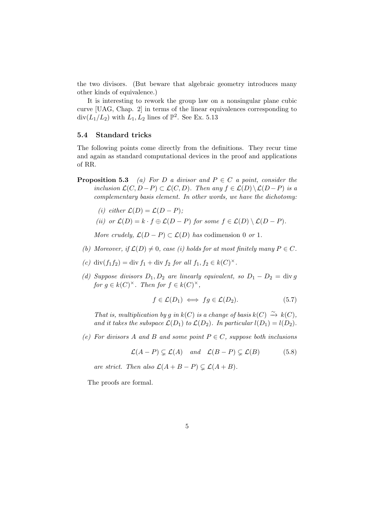the two divisors. (But beware that algebraic geometry introduces many other kinds of equivalence.)

It is interesting to rework the group law on a nonsingular plane cubic curve [UAG, Chap. 2] in terms of the linear equivalences corresponding to  $\text{div}(L_1/L_2)$  with  $L_1, L_2$  lines of  $\mathbb{P}^2$ . See Ex. 5.13

## 5.4 Standard tricks

The following points come directly from the definitions. They recur time and again as standard computational devices in the proof and applications of RR.

- **Proposition 5.3** (a) For D a divisor and  $P \in C$  a point, consider the inclusion  $\mathcal{L}(C, D-P) \subset \mathcal{L}(C, D)$ . Then any  $f \in \mathcal{L}(D) \setminus \mathcal{L}(D-P)$  is a complementary basis element. In other words, we have the dichotomy:
	- (i) either  $\mathcal{L}(D) = \mathcal{L}(D P)$ ;
	- (ii) or  $\mathcal{L}(D) = k \cdot f \oplus \mathcal{L}(D P)$  for some  $f \in \mathcal{L}(D) \setminus \mathcal{L}(D P)$ .

More crudely,  $\mathcal{L}(D - P) \subset \mathcal{L}(D)$  has codimension 0 or 1.

- (b) Moreover, if  $\mathcal{L}(D) \neq 0$ , case (i) holds for at most finitely many  $P \in C$ .
- (c) div(f<sub>1</sub>f<sub>2</sub>) = div f<sub>1</sub> + div f<sub>2</sub> for all f<sub>1</sub>, f<sub>2</sub>  $\in k(C)^{\times}$ .
- (d) Suppose divisors  $D_1, D_2$  are linearly equivalent, so  $D_1 D_2 = \text{div } g$ for  $g \in k(C)^{\times}$ . Then for  $f \in k(C)^{\times}$ ,

$$
f \in \mathcal{L}(D_1) \iff fg \in \mathcal{L}(D_2). \tag{5.7}
$$

That is, multiplication by g in  $k(C)$  is a change of basis  $k(C) \stackrel{\sim}{\to} k(C)$ , and it takes the subspace  $\mathcal{L}(D_1)$  to  $\mathcal{L}(D_2)$ . In particular  $l(D_1) = l(D_2)$ .

(e) For divisors A and B and some point  $P \in C$ , suppose both inclusions

$$
\mathcal{L}(A-P) \subsetneq \mathcal{L}(A)
$$
 and  $\mathcal{L}(B-P) \subsetneq \mathcal{L}(B)$  (5.8)

are strict. Then also  $\mathcal{L}(A + B - P) \subsetneq \mathcal{L}(A + B)$ .

The proofs are formal.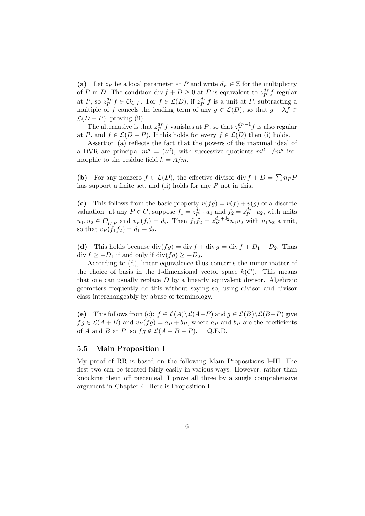(a) Let  $z_P$  be a local parameter at P and write  $d_P \in \mathbb{Z}$  for the multiplicity of P in D. The condition div  $f + D \geq 0$  at P is equivalent to  $z_P^{d_P} f$  regular at P, so  $z_P^{d_P} f \in \mathcal{O}_{C,P}$ . For  $f \in \mathcal{L}(D)$ , if  $z_P^{d_P} f$  is a unit at P, subtracting a multiple of f cancels the leading term of any  $g \in \mathcal{L}(D)$ , so that  $g - \lambda f \in$  $\mathcal{L}(D - P)$ , proving (ii).

The alternative is that  $z_P^{d_P} f$  vanishes at P, so that  $z_P^{d_P-1} f$  is also regular at P, and  $f \in \mathcal{L}(D - P)$ . If this holds for every  $f \in \mathcal{L}(D)$  then (i) holds.

Assertion (a) reflects the fact that the powers of the maximal ideal of a DVR are principal  $m^d = (z^d)$ , with successive quotients  $m^{d-1}/m^d$  isomorphic to the residue field  $k = A/m$ .

(b) For any nonzero  $f \in \mathcal{L}(D)$ , the effective divisor div  $f + D = \sum n_P P$ has support a finite set, and (ii) holds for any P not in this.

(c) This follows from the basic property  $v(fg) = v(f) + v(g)$  of a discrete valuation: at any  $P \in C$ , suppose  $f_1 = z_P^{d_1} \cdot u_1$  and  $f_2 = z_P^{d_2} \cdot u_2$ , with units  $u_1, u_2 \in \mathcal{O}_{C,P}^{\times}$  and  $v_P(f_i) = d_i$ . Then  $f_1 f_2 = z_P^{d_1 + d_2} u_1 u_2$  with  $u_1 u_2$  a unit, so that  $v_P(f_1f_2) = d_1 + d_2$ .

(d) This holds because div(fg) = div f + div g = div f +  $D_1 - D_2$ . Thus div  $f \ge -D_1$  if and only if div $(fg) \ge -D_2$ .

According to (d), linear equivalence thus concerns the minor matter of the choice of basis in the 1-dimensional vector space  $k(C)$ . This means that one can usually replace D by a linearly equivalent divisor. Algebraic geometers frequently do this without saying so, using divisor and divisor class interchangeably by abuse of terminology.

(e) This follows from (c):  $f \in \mathcal{L}(A) \backslash \mathcal{L}(A-P)$  and  $g \in \mathcal{L}(B) \backslash \mathcal{L}(B-P)$  give  $fg \in \mathcal{L}(A + B)$  and  $v_P(fg) = a_P + b_P$ , where  $a_P$  and  $b_P$  are the coefficients of A and B at P, so  $fg \notin \mathcal{L}(A + B - P)$ . Q.E.D.

## 5.5 Main Proposition I

My proof of RR is based on the following Main Propositions I–III. The first two can be treated fairly easily in various ways. However, rather than knocking them off piecemeal, I prove all three by a single comprehensive argument in Chapter 4. Here is Proposition I.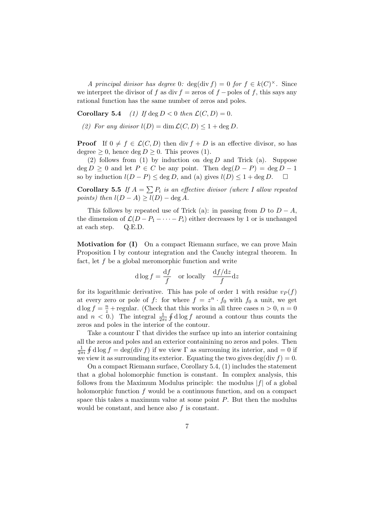A principal divisor has degree 0:  $deg(\text{div } f) = 0$  for  $f \in k(C)^{\times}$ . Since we interpret the divisor of f as div  $f =$ zeros of  $f -$ poles of f, this says any rational function has the same number of zeros and poles.

**Corollary 5.4** (1) If deg  $D < 0$  then  $\mathcal{L}(C, D) = 0$ .

(2) For any divisor  $l(D) = \dim \mathcal{L}(C, D) \leq 1 + \deg D$ .

**Proof** If  $0 \neq f \in \mathcal{L}(C, D)$  then div  $f + D$  is an effective divisor, so has degree  $\geq 0$ , hence deg  $D \geq 0$ . This proves (1).

(2) follows from (1) by induction on deg  $D$  and Trick (a). Suppose  $\deg D \geq 0$  and let  $P \in C$  be any point. Then  $\deg(D - P) = \deg D - 1$ so by induction  $l(D - P) \le \deg D$ , and (a) gives  $l(D) \le 1 + \deg D$ .  $\Box$ 

**Corollary 5.5** If  $A = \sum P_i$  is an effective divisor (where I allow repeated points) then  $l(D - A) \geq l(D) - \deg A$ .

This follows by repeated use of Trick (a): in passing from  $D$  to  $D - A$ , the dimension of  $\mathcal{L}(D - P_1 - \cdots - P_i)$  either decreases by 1 or is unchanged at each step. Q.E.D.

Motivation for (I) On a compact Riemann surface, we can prove Main Proposition I by contour integration and the Cauchy integral theorem. In fact, let  $f$  be a global meromorphic function and write

$$
d \log f = \frac{df}{f} \quad \text{or locally} \quad \frac{df/dz}{f} dz
$$

for its logarithmic derivative. This has pole of order 1 with residue  $v_P(f)$ at every zero or pole of f: for where  $f = z^n \cdot f_0$  with  $f_0$  a unit, we get d log  $f = \frac{n}{z} +$  regular. (Check that this works in all three cases  $n > 0$ ,  $n = 0$ and  $n < 0$ .) The integral  $\frac{1}{2\pi i} \oint d\log f$  around a contour thus counts the zeros and poles in the interior of the contour.

Take a countour  $\Gamma$  that divides the surface up into an interior containing all the zeros and poles and an exterior containining no zeros and poles. Then 1  $\frac{1}{2\pi i}$   $\oint$  d log  $f = \deg(\text{div } f)$  if we view  $\Gamma$  as surrouning its interior, and  $= 0$  if we view it as surrounding its exterior. Equating the two gives deg(div  $f$ ) = 0.

On a compact Riemann surface, Corollary 5.4, (1) includes the statement that a global holomorphic function is constant. In complex analysis, this follows from the Maximum Modulus principle: the modulus  $|f|$  of a global holomorphic function  $f$  would be a continuous function, and on a compact space this takes a maximum value at some point  $P$ . But then the modulus would be constant, and hence also  $f$  is constant.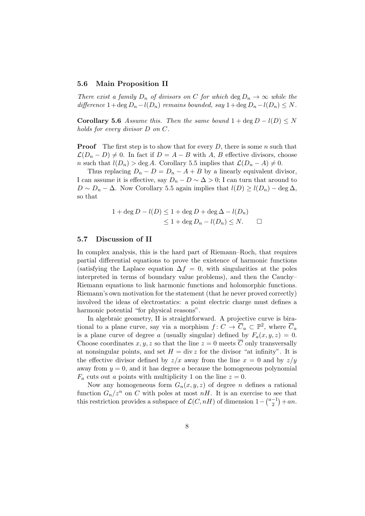# 5.6 Main Proposition II

There exist a family  $D_n$  of divisors on C for which deg  $D_n \to \infty$  while the difference  $1+\deg D_n-l(D_n)$  remains bounded, say  $1+\deg D_n-l(D_n)\leq N$ .

Corollary 5.6 Assume this. Then the same bound  $1 + \deg D - l(D) \leq N$ holds for every divisor D on C.

**Proof** The first step is to show that for every  $D$ , there is some n such that  $\mathcal{L}(D_n - D) \neq 0$ . In fact if  $D = A - B$  with A, B effective divisors, choose n such that  $l(D_n) > \deg A$ . Corollary 5.5 implies that  $\mathcal{L}(D_n - A) \neq 0$ .

Thus replacing  $D_n - D = D_n - A + B$  by a linearly equivalent divisor, I can assume it is effective, say  $D_n - D \sim \Delta > 0$ ; I can turn that around to  $D \sim D_n - \Delta$ . Now Corollary 5.5 again implies that  $l(D) \geq l(D_n) - \deg \Delta$ , so that

$$
1 + \deg D - l(D) \le 1 + \deg D + \deg \Delta - l(D_n)
$$
  

$$
\le 1 + \deg D_n - l(D_n) \le N. \qquad \Box
$$

# 5.7 Discussion of II

In complex analysis, this is the hard part of Riemann–Roch, that requires partial differential equations to prove the existence of harmonic functions (satisfying the Laplace equation  $\Delta f = 0$ , with singularities at the poles interpreted in terms of boundary value problems), and then the Cauchy– Riemann equations to link harmonic functions and holomorphic functions. Riemann's own motivation for the statement (that he never proved correctly) involved the ideas of electrostatics: a point electric charge must defines a harmonic potential "for physical reasons".

In algebraic geometry, II is straightforward. A projective curve is birational to a plane curve, say via a morphism  $f: C \to \overline{C}_a \subset \mathbb{P}^2$ , where  $\overline{C}_a$ is a plane curve of degree a (usually singular) defined by  $F_a(x, y, z) = 0$ . Choose coordinates x, y, z so that the line  $z = 0$  meets  $\overline{C}$  only transversally at nonsingular points, and set  $H = \text{div } z$  for the divisor "at infinity". It is the effective divisor defined by  $z/x$  away from the line  $x = 0$  and by  $z/y$ away from  $y = 0$ , and it has degree a because the homogeneous polynomial  $F_a$  cuts out a points with multiplicity 1 on the line  $z = 0$ .

Now any homogeneous form  $G_n(x, y, z)$  of degree *n* defines a rational function  $G_n/z^n$  on C with poles at most  $nH$ . It is an exercise to see that this restriction provides a subspace of  $\mathcal{L}(C, nH)$  of dimension  $1 - \binom{a-1}{2}$  $\binom{-1}{2} + an.$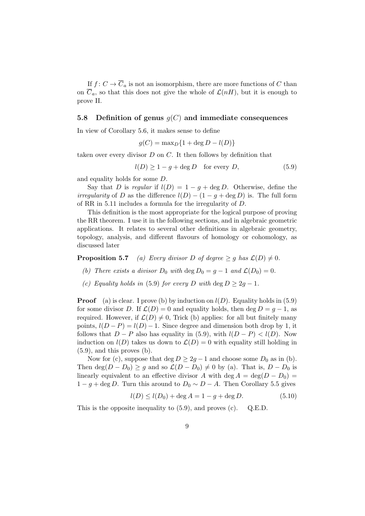If  $f: C \to \overline{C}_a$  is not an isomorphism, there are more functions of C than on  $\overline{C}_a$ , so that this does not give the whole of  $\mathcal{L}(nH)$ , but it is enough to prove II.

# 5.8 Definition of genus  $g(C)$  and immediate consequences

In view of Corollary 5.6, it makes sense to define

$$
g(C) = \max_D \{1 + \deg D - l(D)\}
$$

taken over every divisor  $D$  on  $C$ . It then follows by definition that

$$
l(D) \ge 1 - g + \deg D \quad \text{for every } D,\tag{5.9}
$$

and equality holds for some D.

Say that D is regular if  $l(D) = 1 - g + \deg D$ . Otherwise, define the *irregularity* of D as the difference  $l(D) - (1 - g + \deg D)$  is. The full form of RR in 5.11 includes a formula for the irregularity of D.

This definition is the most appropriate for the logical purpose of proving the RR theorem. I use it in the following sections, and in algebraic geometric applications. It relates to several other definitions in algebraic geometry, topology, analysis, and different flavours of homology or cohomology, as discussed later

**Proposition 5.7** (a) Every divisor D of degree  $\geq g$  has  $\mathcal{L}(D) \neq 0$ .

- (b) There exists a divisor  $D_0$  with  $\deg D_0 = g 1$  and  $\mathcal{L}(D_0) = 0$ .
- (c) Equality holds in (5.9) for every D with deg  $D \geq 2g 1$ .

**Proof** (a) is clear. I prove (b) by induction on  $l(D)$ . Equality holds in (5.9) for some divisor D. If  $\mathcal{L}(D) = 0$  and equality holds, then deg  $D = g - 1$ , as required. However, if  $\mathcal{L}(D) \neq 0$ , Trick (b) applies: for all but finitely many points,  $l(D - P) = l(D) - 1$ . Since degree and dimension both drop by 1, it follows that  $D - P$  also has equality in (5.9), with  $l(D - P) < l(D)$ . Now induction on  $l(D)$  takes us down to  $\mathcal{L}(D) = 0$  with equality still holding in  $(5.9)$ , and this proves  $(b)$ .

Now for (c), suppose that deg  $D \geq 2g - 1$  and choose some  $D_0$  as in (b). Then deg( $D - D_0$ ) ≥ g and so  $\mathcal{L}(D - D_0) \neq 0$  by (a). That is,  $D - D_0$  is linearly equivalent to an effective divisor A with deg  $A = \deg(D - D_0)$  $1 - g + \deg D$ . Turn this around to  $D_0 \sim D - A$ . Then Corollary 5.5 gives

$$
l(D) \le l(D_0) + \deg A = 1 - g + \deg D.
$$
 (5.10)

This is the opposite inequality to (5.9), and proves (c). Q.E.D.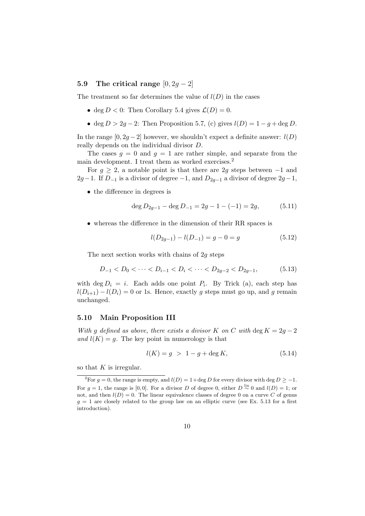# 5.9 The critical range  $[0, 2g - 2]$

The treatment so far determines the value of  $l(D)$  in the cases

- deg  $D < 0$ : Then Corollary 5.4 gives  $\mathcal{L}(D) = 0$ .
- deg  $D > 2g 2$ : Then Proposition 5.7, (c) gives  $l(D) = 1 g + \deg D$ .

In the range  $[0, 2g-2]$  however, we shouldn't expect a definite answer:  $l(D)$ really depends on the individual divisor D.

The cases  $g = 0$  and  $g = 1$  are rather simple, and separate from the main development. I treat them as worked exercises.<sup>2</sup>

For  $g \geq 2$ , a notable point is that there are 2g steps between -1 and  $2g-1$ . If  $D_{-1}$  is a divisor of degree  $-1$ , and  $D_{2g-1}$  a divisor of degree  $2g-1$ ,

• the difference in degrees is

$$
\deg D_{2g-1} - \deg D_{-1} = 2g - 1 - (-1) = 2g,\tag{5.11}
$$

• whereas the difference in the dimension of their RR spaces is

$$
l(D_{2g-1}) - l(D_{-1}) = g - 0 = g \tag{5.12}
$$

The next section works with chains of 2g steps

$$
D_{-1} < D_0 < \dots < D_{i-1} < D_i < \dots < D_{2g-2} < D_{2g-1},\tag{5.13}
$$

with  $\deg D_i = i$ . Each adds one point  $P_i$ . By Trick (a), each step has  $l(D_{i+1}) - l(D_i) = 0$  or 1s. Hence, exactly g steps must go up, and g remain unchanged.

# 5.10 Main Proposition III

With g defined as above, there exists a divisor K on C with deg  $K = 2g - 2$ and  $l(K) = q$ . The key point in numerology is that

$$
l(K) = g > 1 - g + \deg K,\tag{5.14}
$$

so that  $K$  is irregular.

<sup>&</sup>lt;sup>2</sup>For g = 0, the range is empty, and  $l(D) = 1 + \deg D$  for every divisor with deg  $D \ge -1$ . For  $g = 1$ , the range is [0,0]. For a divisor D of degree 0, either  $D \stackrel{\text{lin}}{\sim} 0$  and  $l(D) = 1$ ; or not, and then  $l(D) = 0$ . The linear equivalence classes of degree 0 on a curve C of genus  $g = 1$  are closely related to the group law on an elliptic curve (see Ex. 5.13 for a first introduction).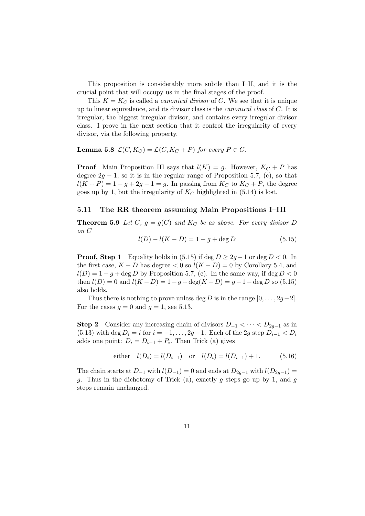This proposition is considerably more subtle than I–II, and it is the crucial point that will occupy us in the final stages of the proof.

This  $K = K_C$  is called a *canonical divisor* of C. We see that it is unique up to linear equivalence, and its divisor class is the *canonical class* of  $C$ . It is irregular, the biggest irregular divisor, and contains every irregular divisor class. I prove in the next section that it control the irregularity of every divisor, via the following property.

**Lemma 5.8**  $\mathcal{L}(C, K_C) = \mathcal{L}(C, K_C + P)$  for every  $P \in C$ .

**Proof** Main Proposition III says that  $l(K) = g$ . However,  $K_C + P$  has degree  $2g - 1$ , so it is in the regular range of Proposition 5.7, (c), so that  $l(K + P) = 1 - g + 2g - 1 = g$ . In passing from  $K_C$  to  $K_C + P$ , the degree goes up by 1, but the irregularity of  $K_C$  highlighted in (5.14) is lost.

#### 5.11 The RR theorem assuming Main Propositions I–III

**Theorem 5.9** Let C,  $g = g(C)$  and  $K_C$  be as above. For every divisor D on C

$$
l(D) - l(K - D) = 1 - g + \deg D \tag{5.15}
$$

**Proof, Step 1** Equality holds in (5.15) if deg  $D \ge 2q - 1$  or deg  $D < 0$ . In the first case,  $K - D$  has degree  $\lt 0$  so  $l(K - D) = 0$  by Corollary 5.4, and  $l(D) = 1 - q + \deg D$  by Proposition 5.7, (c). In the same way, if  $\deg D < 0$ then  $l(D) = 0$  and  $l(K - D) = 1 - g + \deg(K - D) = g - 1 - \deg D$  so (5.15) also holds.

Thus there is nothing to prove unless deg D is in the range  $[0, \ldots, 2g-2]$ . For the cases  $q = 0$  and  $q = 1$ , see 5.13.

**Step 2** Consider any increasing chain of divisors  $D_{-1} < \cdots < D_{2q-1}$  as in (5.13) with deg  $D_i = i$  for  $i = -1, ..., 2g-1$ . Each of the 2g step  $D_{i-1} < D_i$ adds one point:  $D_i = D_{i-1} + P_i$ . Then Trick (a) gives

either 
$$
l(D_i) = l(D_{i-1})
$$
 or  $l(D_i) = l(D_{i-1}) + 1.$  (5.16)

The chain starts at  $D_{-1}$  with  $l(D_{-1}) = 0$  and ends at  $D_{2q-1}$  with  $l(D_{2q-1}) =$ q. Thus in the dichotomy of Trick (a), exactly q steps go up by 1, and q steps remain unchanged.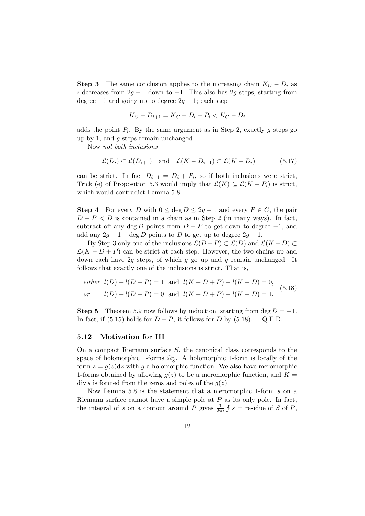**Step 3** The same conclusion applies to the increasing chain  $K_C - D_i$  as i decreases from  $2g - 1$  down to  $-1$ . This also has 2g steps, starting from degree  $-1$  and going up to degree  $2q - 1$ ; each step

$$
K_C - D_{i+1} = K_C - D_i - P_i < K_C - D_i
$$

adds the point  $P_i$ . By the same argument as in Step 2, exactly g steps go up by 1, and g steps remain unchanged.

Now not both inclusions

$$
\mathcal{L}(D_i) \subset \mathcal{L}(D_{i+1})
$$
 and  $\mathcal{L}(K - D_{i+1}) \subset \mathcal{L}(K - D_i)$  (5.17)

can be strict. In fact  $D_{i+1} = D_i + P_i$ , so if both inclusions were strict, Trick (e) of Proposition 5.3 would imply that  $\mathcal{L}(K) \subsetneq \mathcal{L}(K + P_i)$  is strict, which would contradict Lemma 5.8.

**Step 4** For every D with  $0 \le \deg D \le 2g - 1$  and every  $P \in C$ , the pair  $D - P < D$  is contained in a chain as in Step 2 (in many ways). In fact, subtract off any deg D points from  $D - P$  to get down to degree  $-1$ , and add any  $2g - 1 - \deg D$  points to D to get up to degree  $2g - 1$ .

By Step 3 only one of the inclusions  $\mathcal{L}(D - P) \subset \mathcal{L}(D)$  and  $\mathcal{L}(K - D) \subset$  $\mathcal{L}(K - D + P)$  can be strict at each step. However, the two chains up and down each have  $2g$  steps, of which g go up and g remain unchanged. It follows that exactly one of the inclusions is strict. That is,

*either* 
$$
l(D) - l(D - P) = 1
$$
 and  $l(K - D + P) - l(K - D) = 0$ ,  
*or*  $l(D) - l(D - P) = 0$  and  $l(K - D + P) - l(K - D) = 1$ . (5.18)

Step 5 Theorem 5.9 now follows by induction, starting from deg  $D = -1$ . In fact, if (5.15) holds for  $D - P$ , it follows for D by (5.18). Q.E.D.

#### 5.12 Motivation for III

On a compact Riemann surface S, the canonical class corresponds to the space of holomorphic 1-forms  $\Omega_S^1$ . A holomorphic 1-form is locally of the form  $s = g(z)dz$  with g a holomorphic function. We also have meromorphic 1-forms obtained by allowing  $q(z)$  to be a meromorphic function, and  $K =$ div s is formed from the zeros and poles of the  $q(z)$ .

Now Lemma 5.8 is the statement that a meromorphic 1-form s on a Riemann surface cannot have a simple pole at  $P$  as its only pole. In fact, the integral of s on a contour around P gives  $\frac{1}{2\pi i}$   $\oint s =$  residue of S of P,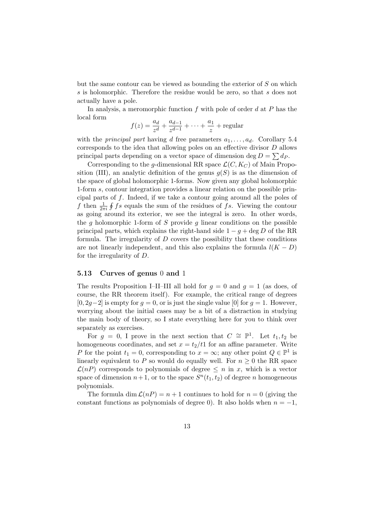but the same contour can be viewed as bounding the exterior of S on which s is holomorphic. Therefore the residue would be zero, so that s does not actually have a pole.

In analysis, a meromorphic function  $f$  with pole of order  $d$  at  $P$  has the local form

$$
f(z) = \frac{a_d}{z^d} + \frac{a_{d-1}}{z^{d-1}} + \dots + \frac{a_1}{z} + \text{regular}
$$

with the *principal part* having d free parameters  $a_1, \ldots, a_d$ . Corollary 5.4 corresponds to the idea that allowing poles on an effective divisor D allows principal parts depending on a vector space of dimension deg  $D = \sum d_P$ .

Corresponding to the g-dimensional RR space  $\mathcal{L}(C, K_C)$  of Main Proposition (III), an analytic definition of the genus  $q(S)$  is as the dimension of the space of global holomorphic 1-forms. Now given any global holomorphic 1-form s, contour integration provides a linear relation on the possible principal parts of f. Indeed, if we take a contour going around all the poles of f then  $\frac{1}{2\pi i}$  f fs equals the sum of the residues of fs. Viewing the contour as going around its exterior, we see the integral is zero. In other words, the g holomorphic 1-form of S provide g linear conditions on the possible principal parts, which explains the right-hand side  $1 - g + \deg D$  of the RR formula. The irregularity of  $D$  covers the possibility that these conditions are not linearly independent, and this also explains the formula  $l(K - D)$ for the irregularity of D.

#### 5.13 Curves of genus 0 and 1

The results Proposition I–II–III all hold for  $g = 0$  and  $g = 1$  (as does, of course, the RR theorem itself). For example, the critical range of degrees  $[0, 2q-2]$  is empty for  $q = 0$ , or is just the single value  $[0]$  for  $q = 1$ . However, worrying about the initial cases may be a bit of a distraction in studying the main body of theory, so I state everything here for you to think over separately as exercises.

For  $g = 0$ , I prove in the next section that  $C \cong \mathbb{P}^1$ . Let  $t_1, t_2$  be homogeneous coordinates, and set  $x = t_2/t_1$  for an affine parameter. Write P for the point  $t_1 = 0$ , corresponding to  $x = \infty$ ; any other point  $Q \in \mathbb{P}^1$  is linearly equivalent to P so would do equally well. For  $n \geq 0$  the RR space  $\mathcal{L}(nP)$  corresponds to polynomials of degree  $\leq n$  in x, which is a vector space of dimension  $n+1$ , or to the space  $S<sup>n</sup>(t<sub>1</sub>, t<sub>2</sub>)$  of degree n homogeneous polynomials.

The formula dim  $\mathcal{L}(nP) = n + 1$  continues to hold for  $n = 0$  (giving the constant functions as polynomials of degree 0). It also holds when  $n = -1$ ,